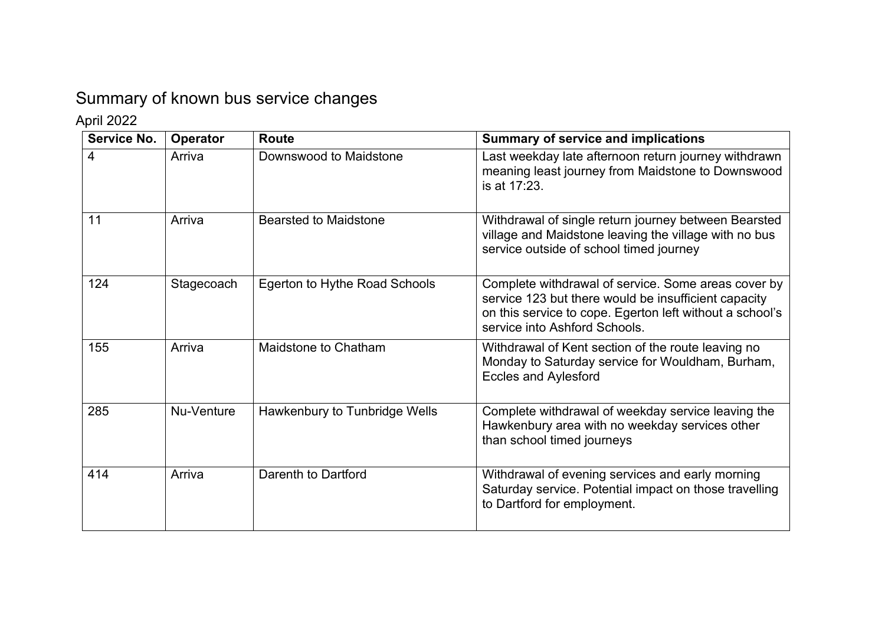## Summary of known bus service changes

April 2022

| Service No. | Operator   | <b>Route</b>                  | <b>Summary of service and implications</b>                                                                                                                                                               |
|-------------|------------|-------------------------------|----------------------------------------------------------------------------------------------------------------------------------------------------------------------------------------------------------|
| 4           | Arriva     | Downswood to Maidstone        | Last weekday late afternoon return journey withdrawn<br>meaning least journey from Maidstone to Downswood<br>is at 17:23.                                                                                |
| 11          | Arriva     | <b>Bearsted to Maidstone</b>  | Withdrawal of single return journey between Bearsted<br>village and Maidstone leaving the village with no bus<br>service outside of school timed journey                                                 |
| 124         | Stagecoach | Egerton to Hythe Road Schools | Complete withdrawal of service. Some areas cover by<br>service 123 but there would be insufficient capacity<br>on this service to cope. Egerton left without a school's<br>service into Ashford Schools. |
| 155         | Arriva     | Maidstone to Chatham          | Withdrawal of Kent section of the route leaving no<br>Monday to Saturday service for Wouldham, Burham,<br><b>Eccles and Aylesford</b>                                                                    |
| 285         | Nu-Venture | Hawkenbury to Tunbridge Wells | Complete withdrawal of weekday service leaving the<br>Hawkenbury area with no weekday services other<br>than school timed journeys                                                                       |
| 414         | Arriva     | Darenth to Dartford           | Withdrawal of evening services and early morning<br>Saturday service. Potential impact on those travelling<br>to Dartford for employment.                                                                |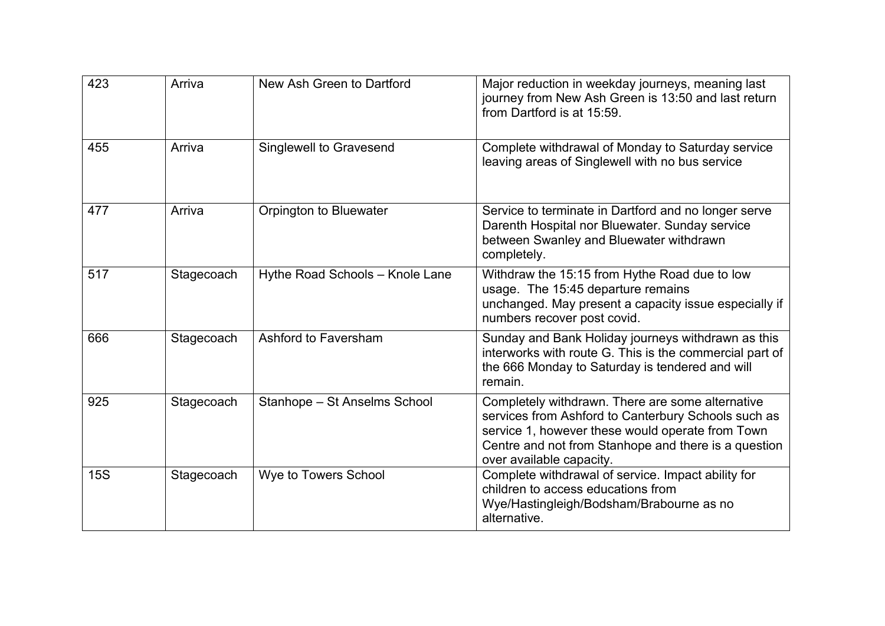| 423        | Arriva     | New Ash Green to Dartford       | Major reduction in weekday journeys, meaning last<br>journey from New Ash Green is 13:50 and last return<br>from Dartford is at 15:59.                                                                                                          |
|------------|------------|---------------------------------|-------------------------------------------------------------------------------------------------------------------------------------------------------------------------------------------------------------------------------------------------|
| 455        | Arriva     | Singlewell to Gravesend         | Complete withdrawal of Monday to Saturday service<br>leaving areas of Singlewell with no bus service                                                                                                                                            |
| 477        | Arriva     | Orpington to Bluewater          | Service to terminate in Dartford and no longer serve<br>Darenth Hospital nor Bluewater. Sunday service<br>between Swanley and Bluewater withdrawn<br>completely.                                                                                |
| 517        | Stagecoach | Hythe Road Schools - Knole Lane | Withdraw the 15:15 from Hythe Road due to low<br>usage. The 15:45 departure remains<br>unchanged. May present a capacity issue especially if<br>numbers recover post covid.                                                                     |
| 666        | Stagecoach | Ashford to Faversham            | Sunday and Bank Holiday journeys withdrawn as this<br>interworks with route G. This is the commercial part of<br>the 666 Monday to Saturday is tendered and will<br>remain.                                                                     |
| 925        | Stagecoach | Stanhope - St Anselms School    | Completely withdrawn. There are some alternative<br>services from Ashford to Canterbury Schools such as<br>service 1, however these would operate from Town<br>Centre and not from Stanhope and there is a question<br>over available capacity. |
| <b>15S</b> | Stagecoach | Wye to Towers School            | Complete withdrawal of service. Impact ability for<br>children to access educations from<br>Wye/Hastingleigh/Bodsham/Brabourne as no<br>alternative.                                                                                            |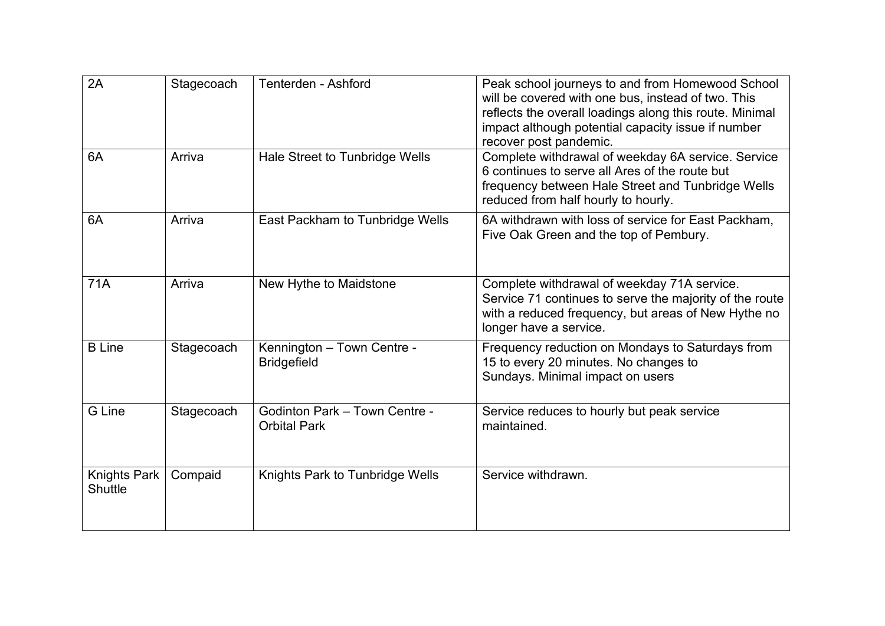| 2A                             | Stagecoach | Tenterden - Ashford                                  | Peak school journeys to and from Homewood School<br>will be covered with one bus, instead of two. This<br>reflects the overall loadings along this route. Minimal<br>impact although potential capacity issue if number<br>recover post pandemic. |
|--------------------------------|------------|------------------------------------------------------|---------------------------------------------------------------------------------------------------------------------------------------------------------------------------------------------------------------------------------------------------|
| 6A                             | Arriva     | Hale Street to Tunbridge Wells                       | Complete withdrawal of weekday 6A service. Service<br>6 continues to serve all Ares of the route but<br>frequency between Hale Street and Tunbridge Wells<br>reduced from half hourly to hourly.                                                  |
| 6A                             | Arriva     | East Packham to Tunbridge Wells                      | 6A withdrawn with loss of service for East Packham.<br>Five Oak Green and the top of Pembury.                                                                                                                                                     |
| 71A                            | Arriva     | New Hythe to Maidstone                               | Complete withdrawal of weekday 71A service.<br>Service 71 continues to serve the majority of the route<br>with a reduced frequency, but areas of New Hythe no<br>longer have a service.                                                           |
| <b>B</b> Line                  | Stagecoach | Kennington - Town Centre -<br><b>Bridgefield</b>     | Frequency reduction on Mondays to Saturdays from<br>15 to every 20 minutes. No changes to<br>Sundays. Minimal impact on users                                                                                                                     |
| G Line                         | Stagecoach | Godinton Park - Town Centre -<br><b>Orbital Park</b> | Service reduces to hourly but peak service<br>maintained.                                                                                                                                                                                         |
| <b>Knights Park</b><br>Shuttle | Compaid    | Knights Park to Tunbridge Wells                      | Service withdrawn.                                                                                                                                                                                                                                |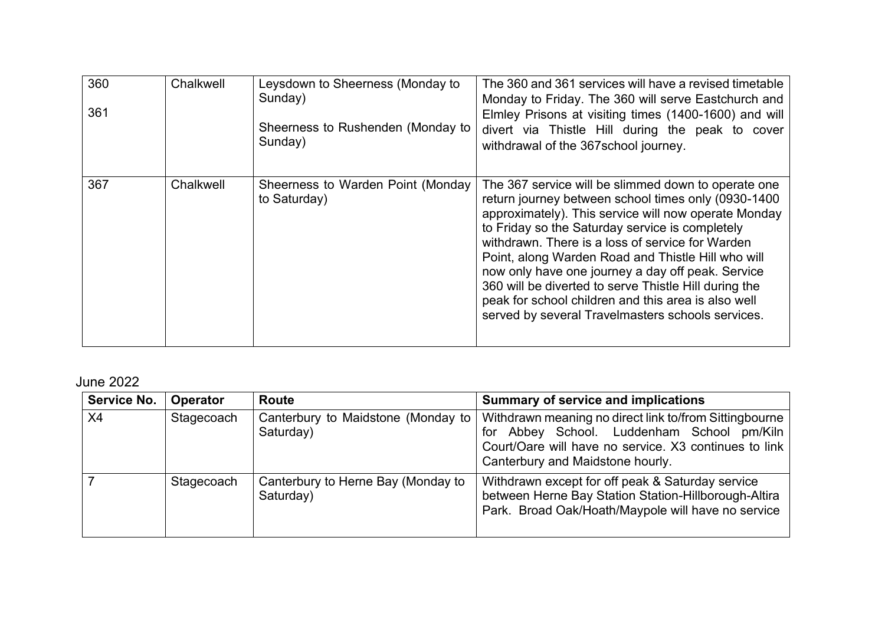| 360<br>361 | Chalkwell | Leysdown to Sheerness (Monday to<br>Sunday)<br>Sheerness to Rushenden (Monday to<br>Sunday) | The 360 and 361 services will have a revised timetable<br>Monday to Friday. The 360 will serve Eastchurch and<br>Elmley Prisons at visiting times (1400-1600) and will<br>divert via Thistle Hill during the peak to cover<br>withdrawal of the 367school journey.                                                                                                                                                                                                                                                                                        |
|------------|-----------|---------------------------------------------------------------------------------------------|-----------------------------------------------------------------------------------------------------------------------------------------------------------------------------------------------------------------------------------------------------------------------------------------------------------------------------------------------------------------------------------------------------------------------------------------------------------------------------------------------------------------------------------------------------------|
| 367        | Chalkwell | Sheerness to Warden Point (Monday<br>to Saturday)                                           | The 367 service will be slimmed down to operate one<br>return journey between school times only (0930-1400<br>approximately). This service will now operate Monday<br>to Friday so the Saturday service is completely<br>withdrawn. There is a loss of service for Warden<br>Point, along Warden Road and Thistle Hill who will<br>now only have one journey a day off peak. Service<br>360 will be diverted to serve Thistle Hill during the<br>peak for school children and this area is also well<br>served by several Travelmasters schools services. |

June 2022

| <b>Service No.</b> | <b>Operator</b> | <b>Route</b>                                      | <b>Summary of service and implications</b>                                                                                                                                                        |  |
|--------------------|-----------------|---------------------------------------------------|---------------------------------------------------------------------------------------------------------------------------------------------------------------------------------------------------|--|
| X4                 | Stagecoach      | Canterbury to Maidstone (Monday to  <br>Saturday) | Withdrawn meaning no direct link to/from Sittingbourne<br>for Abbey School. Luddenham School pm/Kiln<br>Court/Oare will have no service. X3 continues to link<br>Canterbury and Maidstone hourly. |  |
|                    | Stagecoach      | Canterbury to Herne Bay (Monday to<br>Saturday)   | Withdrawn except for off peak & Saturday service<br>between Herne Bay Station Station-Hillborough-Altira<br>Park. Broad Oak/Hoath/Maypole will have no service                                    |  |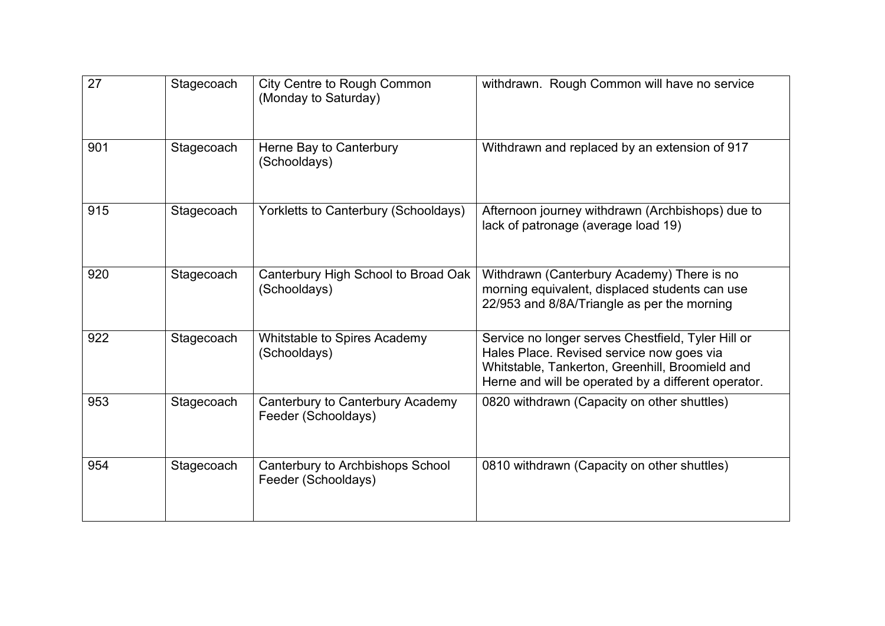| 27  | Stagecoach | <b>City Centre to Rough Common</b><br>(Monday to Saturday) | withdrawn. Rough Common will have no service                                                                                                                                                              |
|-----|------------|------------------------------------------------------------|-----------------------------------------------------------------------------------------------------------------------------------------------------------------------------------------------------------|
| 901 | Stagecoach | Herne Bay to Canterbury<br>(Schooldays)                    | Withdrawn and replaced by an extension of 917                                                                                                                                                             |
| 915 | Stagecoach | Yorkletts to Canterbury (Schooldays)                       | Afternoon journey withdrawn (Archbishops) due to<br>lack of patronage (average load 19)                                                                                                                   |
| 920 | Stagecoach | Canterbury High School to Broad Oak<br>(Schooldays)        | Withdrawn (Canterbury Academy) There is no<br>morning equivalent, displaced students can use<br>22/953 and 8/8A/Triangle as per the morning                                                               |
| 922 | Stagecoach | Whitstable to Spires Academy<br>(Schooldays)               | Service no longer serves Chestfield, Tyler Hill or<br>Hales Place. Revised service now goes via<br>Whitstable, Tankerton, Greenhill, Broomield and<br>Herne and will be operated by a different operator. |
| 953 | Stagecoach | Canterbury to Canterbury Academy<br>Feeder (Schooldays)    | 0820 withdrawn (Capacity on other shuttles)                                                                                                                                                               |
| 954 | Stagecoach | Canterbury to Archbishops School<br>Feeder (Schooldays)    | 0810 withdrawn (Capacity on other shuttles)                                                                                                                                                               |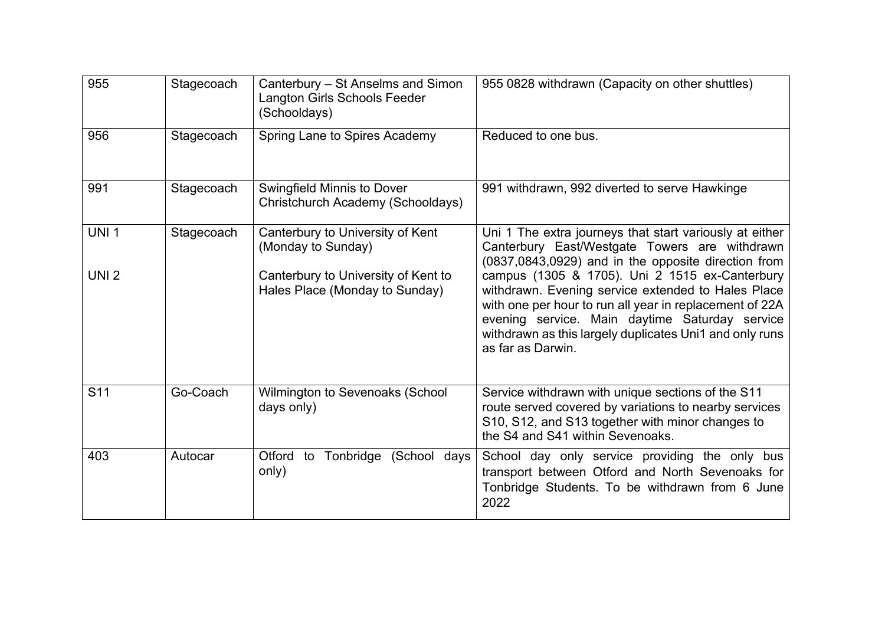| 955                              | Stagecoach | Canterbury – St Anselms and Simon<br>Langton Girls Schools Feeder<br>(Schooldays)                                               | 955 0828 withdrawn (Capacity on other shuttles)                                                                                                                                                                                                                                                                                                                                                                                                                      |  |
|----------------------------------|------------|---------------------------------------------------------------------------------------------------------------------------------|----------------------------------------------------------------------------------------------------------------------------------------------------------------------------------------------------------------------------------------------------------------------------------------------------------------------------------------------------------------------------------------------------------------------------------------------------------------------|--|
| 956                              | Stagecoach | Spring Lane to Spires Academy                                                                                                   | Reduced to one bus.                                                                                                                                                                                                                                                                                                                                                                                                                                                  |  |
| 991                              | Stagecoach | Swingfield Minnis to Dover<br>Christchurch Academy (Schooldays)                                                                 | 991 withdrawn, 992 diverted to serve Hawkinge                                                                                                                                                                                                                                                                                                                                                                                                                        |  |
| <b>UNI 1</b><br>UNI <sub>2</sub> | Stagecoach | Canterbury to University of Kent<br>(Monday to Sunday)<br>Canterbury to University of Kent to<br>Hales Place (Monday to Sunday) | Uni 1 The extra journeys that start variously at either<br>Canterbury East/Westgate Towers are withdrawn<br>(0837,0843,0929) and in the opposite direction from<br>campus (1305 & 1705). Uni 2 1515 ex-Canterbury<br>withdrawn. Evening service extended to Hales Place<br>with one per hour to run all year in replacement of 22A<br>evening service. Main daytime Saturday service<br>withdrawn as this largely duplicates Uni1 and only runs<br>as far as Darwin. |  |
| S <sub>11</sub>                  | Go-Coach   | Wilmington to Sevenoaks (School<br>days only)                                                                                   | Service withdrawn with unique sections of the S11<br>route served covered by variations to nearby services<br>S10, S12, and S13 together with minor changes to<br>the S4 and S41 within Sevenoaks.                                                                                                                                                                                                                                                                   |  |
| 403                              | Autocar    | Otford to<br>(School days<br>Tonbridge<br>only)                                                                                 | School day only service providing the only bus<br>transport between Otford and North Sevenoaks for<br>Tonbridge Students. To be withdrawn from 6 June<br>2022                                                                                                                                                                                                                                                                                                        |  |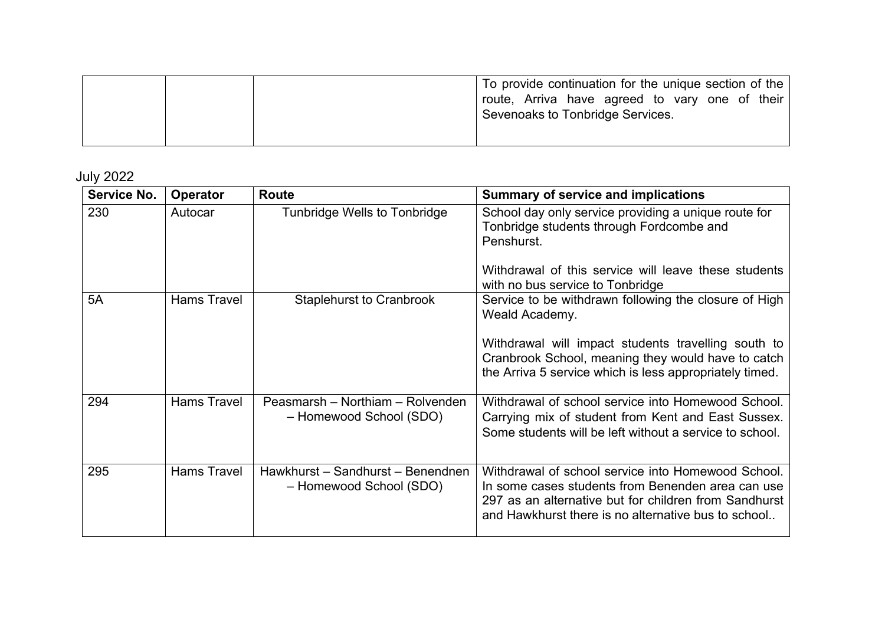|  | To provide continuation for the unique section of the<br>route, Arriva have agreed to vary one of their<br><sup>1</sup> Sevenoaks to Tonbridge Services. |
|--|----------------------------------------------------------------------------------------------------------------------------------------------------------|
|  |                                                                                                                                                          |

July 2022

| Service No. | Operator           | <b>Route</b>                                                 | <b>Summary of service and implications</b>                                                                                                                                                                              |
|-------------|--------------------|--------------------------------------------------------------|-------------------------------------------------------------------------------------------------------------------------------------------------------------------------------------------------------------------------|
| 230         | Autocar            | Tunbridge Wells to Tonbridge                                 | School day only service providing a unique route for<br>Tonbridge students through Fordcombe and<br>Penshurst.<br>Withdrawal of this service will leave these students                                                  |
|             |                    |                                                              | with no bus service to Tonbridge                                                                                                                                                                                        |
| 5A          | <b>Hams Travel</b> | <b>Staplehurst to Cranbrook</b>                              | Service to be withdrawn following the closure of High<br>Weald Academy.                                                                                                                                                 |
|             |                    |                                                              | Withdrawal will impact students travelling south to<br>Cranbrook School, meaning they would have to catch<br>the Arriva 5 service which is less appropriately timed.                                                    |
| 294         | <b>Hams Travel</b> | Peasmarsh – Northiam – Rolvenden<br>- Homewood School (SDO)  | Withdrawal of school service into Homewood School.<br>Carrying mix of student from Kent and East Sussex.<br>Some students will be left without a service to school.                                                     |
| 295         | <b>Hams Travel</b> | Hawkhurst - Sandhurst - Benendnen<br>- Homewood School (SDO) | Withdrawal of school service into Homewood School.<br>In some cases students from Benenden area can use<br>297 as an alternative but for children from Sandhurst<br>and Hawkhurst there is no alternative bus to school |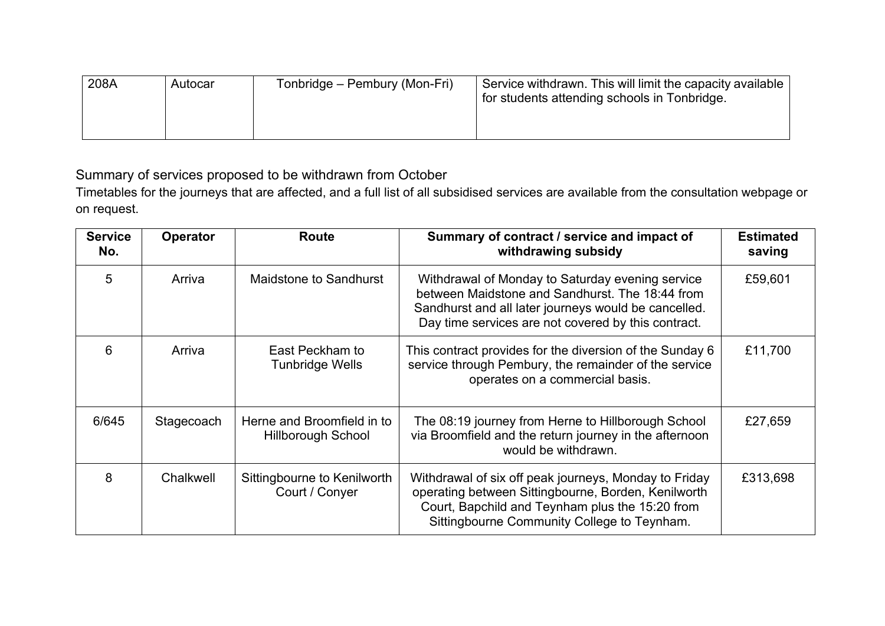| 208A | Autocar | Tonbridge – Pembury (Mon-Fri) | Service withdrawn. This will limit the capacity available<br>for students attending schools in Tonbridge. |
|------|---------|-------------------------------|-----------------------------------------------------------------------------------------------------------|
|------|---------|-------------------------------|-----------------------------------------------------------------------------------------------------------|

Summary of services proposed to be withdrawn from October

Timetables for the journeys that are affected, and a full list of all subsidised services are available from the consultation webpage or on request.

| <b>Service</b><br>No. | <b>Operator</b> | <b>Route</b>                                            | Summary of contract / service and impact of<br>withdrawing subsidy                                                                                                                                                 | <b>Estimated</b><br>saving |
|-----------------------|-----------------|---------------------------------------------------------|--------------------------------------------------------------------------------------------------------------------------------------------------------------------------------------------------------------------|----------------------------|
| 5                     | Arriva          | Maidstone to Sandhurst                                  | Withdrawal of Monday to Saturday evening service<br>between Maidstone and Sandhurst. The 18:44 from<br>Sandhurst and all later journeys would be cancelled.<br>Day time services are not covered by this contract. | £59,601                    |
| 6                     | Arriva          | East Peckham to<br><b>Tunbridge Wells</b>               | This contract provides for the diversion of the Sunday 6<br>service through Pembury, the remainder of the service<br>operates on a commercial basis.                                                               | £11,700                    |
| 6/645                 | Stagecoach      | Herne and Broomfield in to<br><b>Hillborough School</b> | The 08:19 journey from Herne to Hillborough School<br>via Broomfield and the return journey in the afternoon<br>would be withdrawn.                                                                                | £27,659                    |
| 8                     | Chalkwell       | Sittingbourne to Kenilworth<br>Court / Conyer           | Withdrawal of six off peak journeys, Monday to Friday<br>operating between Sittingbourne, Borden, Kenilworth<br>Court, Bapchild and Teynham plus the 15:20 from<br>Sittingbourne Community College to Teynham.     | £313,698                   |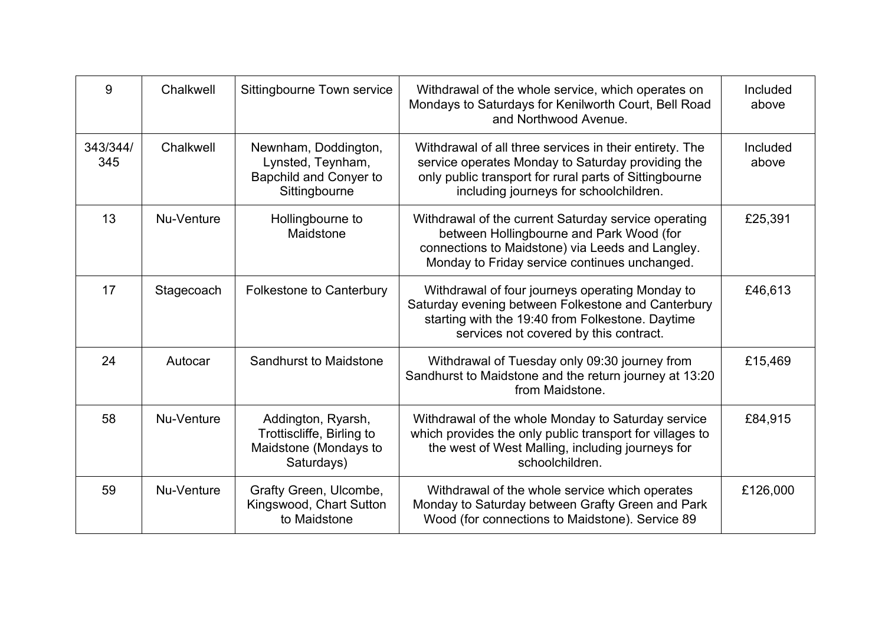| 9               | Chalkwell  | Sittingbourne Town service                                                                  | Withdrawal of the whole service, which operates on<br>Mondays to Saturdays for Kenilworth Court, Bell Road<br>and Northwood Avenue.                                                                              | Included<br>above |
|-----------------|------------|---------------------------------------------------------------------------------------------|------------------------------------------------------------------------------------------------------------------------------------------------------------------------------------------------------------------|-------------------|
| 343/344/<br>345 | Chalkwell  | Newnham, Doddington,<br>Lynsted, Teynham,<br><b>Bapchild and Conyer to</b><br>Sittingbourne | Withdrawal of all three services in their entirety. The<br>service operates Monday to Saturday providing the<br>only public transport for rural parts of Sittingbourne<br>including journeys for schoolchildren. | Included<br>above |
| 13              | Nu-Venture | Hollingbourne to<br>Maidstone                                                               | Withdrawal of the current Saturday service operating<br>between Hollingbourne and Park Wood (for<br>connections to Maidstone) via Leeds and Langley.<br>Monday to Friday service continues unchanged.            | £25,391           |
| 17              | Stagecoach | <b>Folkestone to Canterbury</b>                                                             | Withdrawal of four journeys operating Monday to<br>Saturday evening between Folkestone and Canterbury<br>starting with the 19:40 from Folkestone. Daytime<br>services not covered by this contract.              | £46,613           |
| 24              | Autocar    | Sandhurst to Maidstone                                                                      | Withdrawal of Tuesday only 09:30 journey from<br>Sandhurst to Maidstone and the return journey at 13:20<br>from Maidstone.                                                                                       | £15,469           |
| 58              | Nu-Venture | Addington, Ryarsh,<br>Trottiscliffe, Birling to<br>Maidstone (Mondays to<br>Saturdays)      | Withdrawal of the whole Monday to Saturday service<br>which provides the only public transport for villages to<br>the west of West Malling, including journeys for<br>schoolchildren.                            | £84,915           |
| 59              | Nu-Venture | Grafty Green, Ulcombe,<br>Kingswood, Chart Sutton<br>to Maidstone                           | Withdrawal of the whole service which operates<br>Monday to Saturday between Grafty Green and Park<br>Wood (for connections to Maidstone). Service 89                                                            | £126,000          |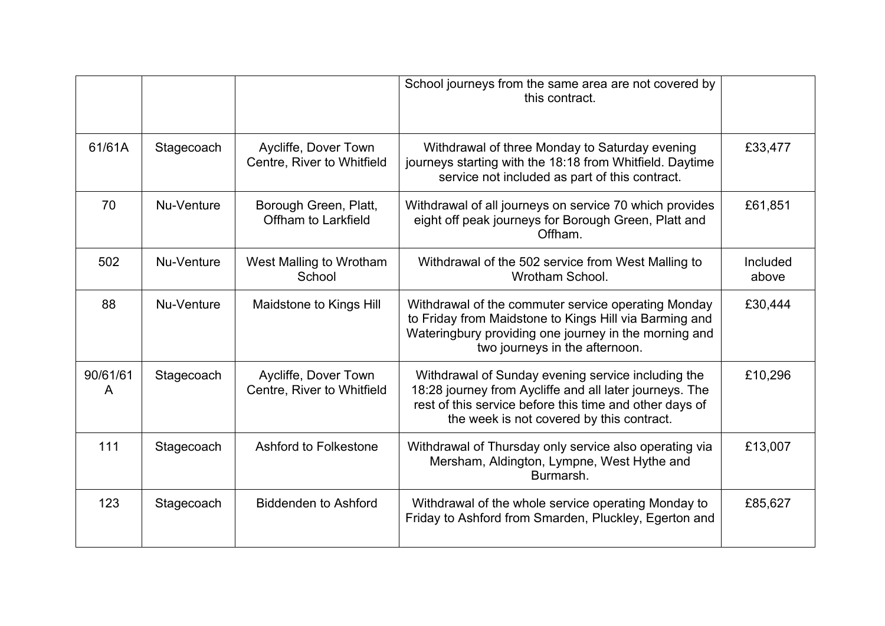|               |            |                                                    | School journeys from the same area are not covered by<br>this contract.                                                                                                                                               |                   |
|---------------|------------|----------------------------------------------------|-----------------------------------------------------------------------------------------------------------------------------------------------------------------------------------------------------------------------|-------------------|
| 61/61A        | Stagecoach | Aycliffe, Dover Town<br>Centre, River to Whitfield | Withdrawal of three Monday to Saturday evening<br>journeys starting with the 18:18 from Whitfield. Daytime<br>service not included as part of this contract.                                                          | £33,477           |
| 70            | Nu-Venture | Borough Green, Platt,<br>Offham to Larkfield       | Withdrawal of all journeys on service 70 which provides<br>eight off peak journeys for Borough Green, Platt and<br>Offham.                                                                                            | £61,851           |
| 502           | Nu-Venture | West Malling to Wrotham<br>School                  | Withdrawal of the 502 service from West Malling to<br>Wrotham School.                                                                                                                                                 | Included<br>above |
| 88            | Nu-Venture | Maidstone to Kings Hill                            | Withdrawal of the commuter service operating Monday<br>to Friday from Maidstone to Kings Hill via Barming and<br>Wateringbury providing one journey in the morning and<br>two journeys in the afternoon.              | £30,444           |
| 90/61/61<br>A | Stagecoach | Aycliffe, Dover Town<br>Centre, River to Whitfield | Withdrawal of Sunday evening service including the<br>18:28 journey from Aycliffe and all later journeys. The<br>rest of this service before this time and other days of<br>the week is not covered by this contract. | £10,296           |
| 111           | Stagecoach | Ashford to Folkestone                              | Withdrawal of Thursday only service also operating via<br>Mersham, Aldington, Lympne, West Hythe and<br>Burmarsh.                                                                                                     | £13,007           |
| 123           | Stagecoach | <b>Biddenden to Ashford</b>                        | Withdrawal of the whole service operating Monday to<br>Friday to Ashford from Smarden, Pluckley, Egerton and                                                                                                          | £85,627           |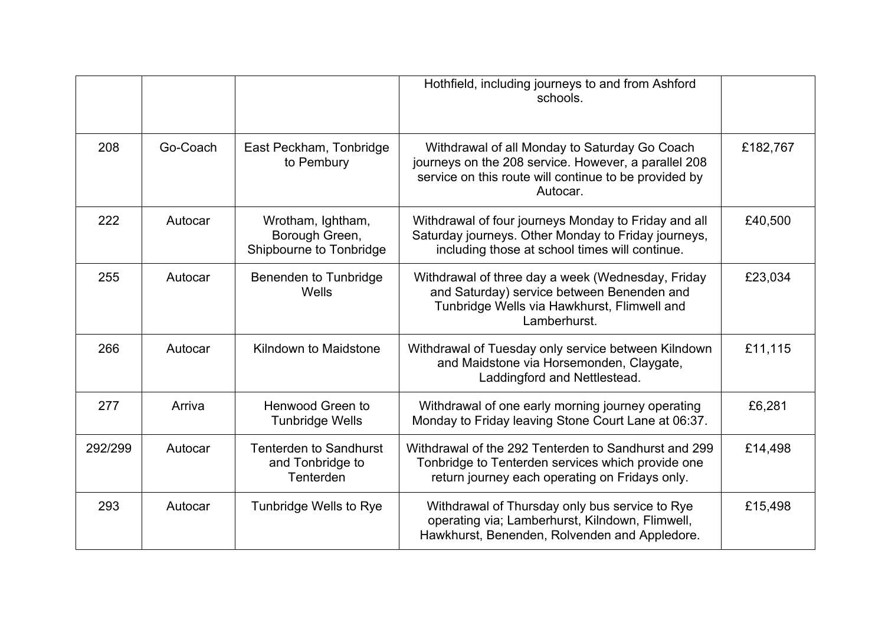|         |          |                                                                | Hothfield, including journeys to and from Ashford<br>schools.                                                                                                              |          |
|---------|----------|----------------------------------------------------------------|----------------------------------------------------------------------------------------------------------------------------------------------------------------------------|----------|
| 208     | Go-Coach | East Peckham, Tonbridge<br>to Pembury                          | Withdrawal of all Monday to Saturday Go Coach<br>journeys on the 208 service. However, a parallel 208<br>service on this route will continue to be provided by<br>Autocar. | £182,767 |
| 222     | Autocar  | Wrotham, Ightham,<br>Borough Green,<br>Shipbourne to Tonbridge | Withdrawal of four journeys Monday to Friday and all<br>Saturday journeys. Other Monday to Friday journeys,<br>including those at school times will continue.              | £40,500  |
| 255     | Autocar  | Benenden to Tunbridge<br>Wells                                 | Withdrawal of three day a week (Wednesday, Friday<br>and Saturday) service between Benenden and<br>Tunbridge Wells via Hawkhurst, Flimwell and<br>Lamberhurst.             | £23,034  |
| 266     | Autocar  | Kilndown to Maidstone                                          | Withdrawal of Tuesday only service between Kilndown<br>and Maidstone via Horsemonden, Claygate,<br>Laddingford and Nettlestead.                                            | £11,115  |
| 277     | Arriva   | Henwood Green to<br><b>Tunbridge Wells</b>                     | Withdrawal of one early morning journey operating<br>Monday to Friday leaving Stone Court Lane at 06:37.                                                                   | £6,281   |
| 292/299 | Autocar  | <b>Tenterden to Sandhurst</b><br>and Tonbridge to<br>Tenterden | Withdrawal of the 292 Tenterden to Sandhurst and 299<br>Tonbridge to Tenterden services which provide one<br>return journey each operating on Fridays only.                | £14,498  |
| 293     | Autocar  | Tunbridge Wells to Rye                                         | Withdrawal of Thursday only bus service to Rye<br>operating via; Lamberhurst, Kilndown, Flimwell,<br>Hawkhurst, Benenden, Rolvenden and Appledore.                         | £15,498  |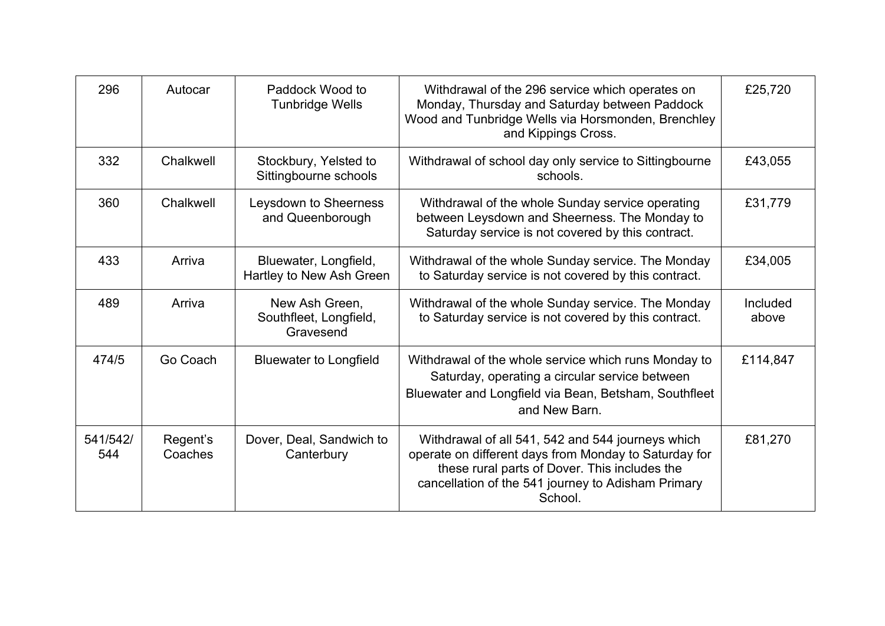| 296             | Autocar             | Paddock Wood to<br>Tunbridge Wells                    | Withdrawal of the 296 service which operates on<br>Monday, Thursday and Saturday between Paddock<br>Wood and Tunbridge Wells via Horsmonden, Brenchley<br>and Kippings Cross.                                                | £25,720           |
|-----------------|---------------------|-------------------------------------------------------|------------------------------------------------------------------------------------------------------------------------------------------------------------------------------------------------------------------------------|-------------------|
| 332             | Chalkwell           | Stockbury, Yelsted to<br>Sittingbourne schools        | Withdrawal of school day only service to Sittingbourne<br>schools.                                                                                                                                                           | £43,055           |
| 360             | Chalkwell           | Leysdown to Sheerness<br>and Queenborough             | Withdrawal of the whole Sunday service operating<br>between Leysdown and Sheerness. The Monday to<br>Saturday service is not covered by this contract.                                                                       | £31,779           |
| 433             | Arriva              | Bluewater, Longfield,<br>Hartley to New Ash Green     | Withdrawal of the whole Sunday service. The Monday<br>to Saturday service is not covered by this contract.                                                                                                                   | £34,005           |
| 489             | Arriva              | New Ash Green,<br>Southfleet, Longfield,<br>Gravesend | Withdrawal of the whole Sunday service. The Monday<br>to Saturday service is not covered by this contract.                                                                                                                   | Included<br>above |
| 474/5           | Go Coach            | <b>Bluewater to Longfield</b>                         | Withdrawal of the whole service which runs Monday to<br>Saturday, operating a circular service between<br>Bluewater and Longfield via Bean, Betsham, Southfleet<br>and New Barn.                                             | £114,847          |
| 541/542/<br>544 | Regent's<br>Coaches | Dover, Deal, Sandwich to<br>Canterbury                | Withdrawal of all 541, 542 and 544 journeys which<br>operate on different days from Monday to Saturday for<br>these rural parts of Dover. This includes the<br>cancellation of the 541 journey to Adisham Primary<br>School. | £81,270           |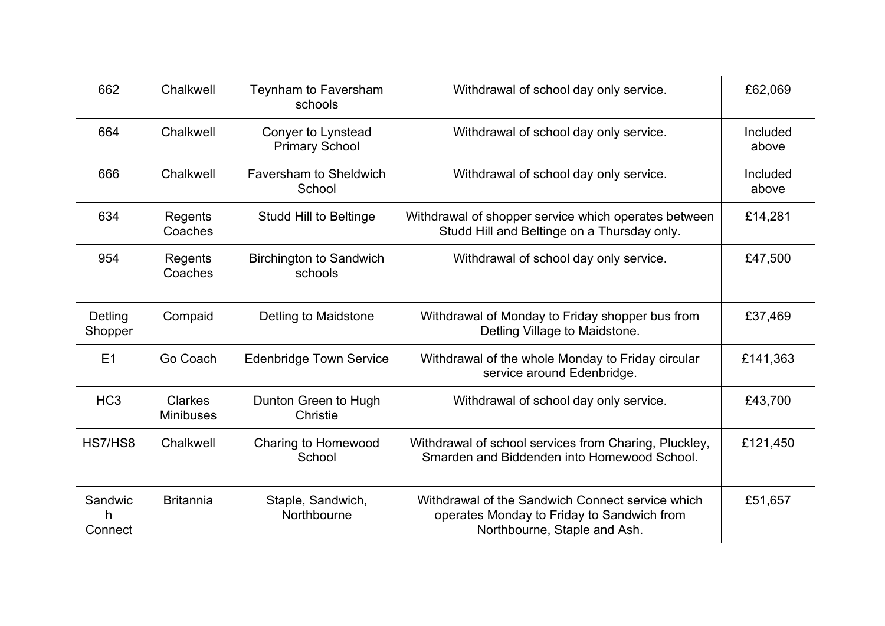| 662                      | Chalkwell                          | Teynham to Faversham<br>schools             | Withdrawal of school day only service.                                                                                         | £62,069           |
|--------------------------|------------------------------------|---------------------------------------------|--------------------------------------------------------------------------------------------------------------------------------|-------------------|
| 664                      | Chalkwell                          | Conyer to Lynstead<br><b>Primary School</b> | Withdrawal of school day only service.                                                                                         | Included<br>above |
| 666                      | Chalkwell                          | <b>Faversham to Sheldwich</b><br>School     | Withdrawal of school day only service.                                                                                         | Included<br>above |
| 634                      | Regents<br>Coaches                 | <b>Studd Hill to Beltinge</b>               | Withdrawal of shopper service which operates between<br>Studd Hill and Beltinge on a Thursday only.                            | £14,281           |
| 954                      | Regents<br>Coaches                 | <b>Birchington to Sandwich</b><br>schools   | Withdrawal of school day only service.                                                                                         | £47,500           |
| Detling<br>Shopper       | Compaid                            | Detling to Maidstone                        | Withdrawal of Monday to Friday shopper bus from<br>Detling Village to Maidstone.                                               | £37,469           |
| E1                       | Go Coach                           | <b>Edenbridge Town Service</b>              | Withdrawal of the whole Monday to Friday circular<br>service around Edenbridge.                                                | £141,363          |
| HC <sub>3</sub>          | <b>Clarkes</b><br><b>Minibuses</b> | Dunton Green to Hugh<br>Christie            | Withdrawal of school day only service.                                                                                         | £43,700           |
| HS7/HS8                  | Chalkwell                          | <b>Charing to Homewood</b><br>School        | Withdrawal of school services from Charing, Pluckley,<br>Smarden and Biddenden into Homewood School.                           | £121,450          |
| Sandwic<br>h.<br>Connect | <b>Britannia</b>                   | Staple, Sandwich,<br>Northbourne            | Withdrawal of the Sandwich Connect service which<br>operates Monday to Friday to Sandwich from<br>Northbourne, Staple and Ash. | £51,657           |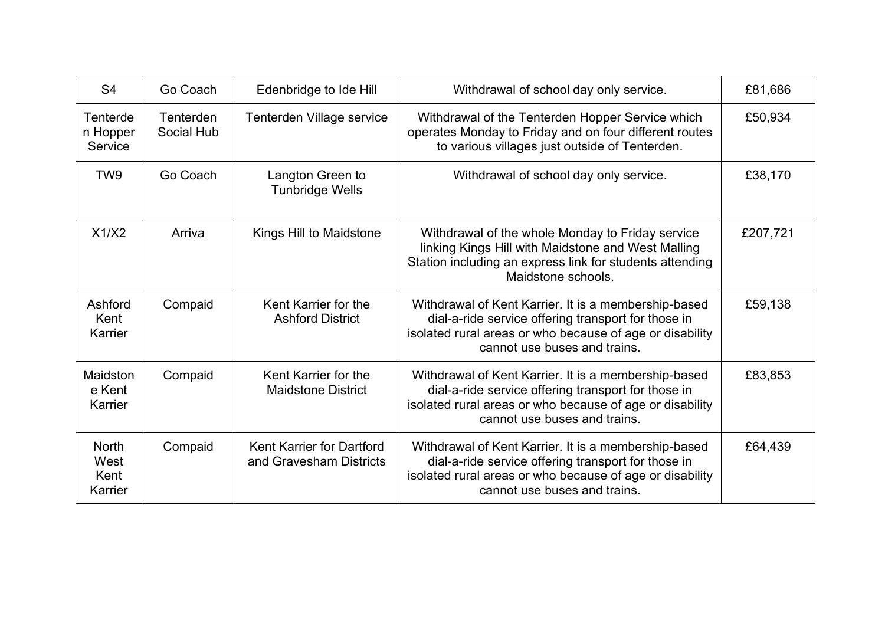| S <sub>4</sub>                          | Go Coach                       | Edenbridge to Ide Hill                                      | Withdrawal of school day only service.                                                                                                                                                                  | £81,686  |
|-----------------------------------------|--------------------------------|-------------------------------------------------------------|---------------------------------------------------------------------------------------------------------------------------------------------------------------------------------------------------------|----------|
| Tenterde<br>n Hopper<br>Service         | <b>Tenterden</b><br>Social Hub | Tenterden Village service                                   | Withdrawal of the Tenterden Hopper Service which<br>operates Monday to Friday and on four different routes<br>to various villages just outside of Tenterden.                                            | £50,934  |
| TW <sub>9</sub>                         | Go Coach                       | Langton Green to<br><b>Tunbridge Wells</b>                  | Withdrawal of school day only service.                                                                                                                                                                  | £38,170  |
| X1/X2                                   | Arriva                         | Kings Hill to Maidstone                                     | Withdrawal of the whole Monday to Friday service<br>linking Kings Hill with Maidstone and West Malling<br>Station including an express link for students attending<br>Maidstone schools.                | £207,721 |
| Ashford<br>Kent<br>Karrier              | Compaid                        | Kent Karrier for the<br><b>Ashford District</b>             | Withdrawal of Kent Karrier. It is a membership-based<br>dial-a-ride service offering transport for those in<br>isolated rural areas or who because of age or disability<br>cannot use buses and trains. | £59,138  |
| Maidston<br>e Kent<br>Karrier           | Compaid                        | Kent Karrier for the<br><b>Maidstone District</b>           | Withdrawal of Kent Karrier. It is a membership-based<br>dial-a-ride service offering transport for those in<br>isolated rural areas or who because of age or disability<br>cannot use buses and trains. | £83,853  |
| <b>North</b><br>West<br>Kent<br>Karrier | Compaid                        | <b>Kent Karrier for Dartford</b><br>and Gravesham Districts | Withdrawal of Kent Karrier. It is a membership-based<br>dial-a-ride service offering transport for those in<br>isolated rural areas or who because of age or disability<br>cannot use buses and trains. | £64,439  |